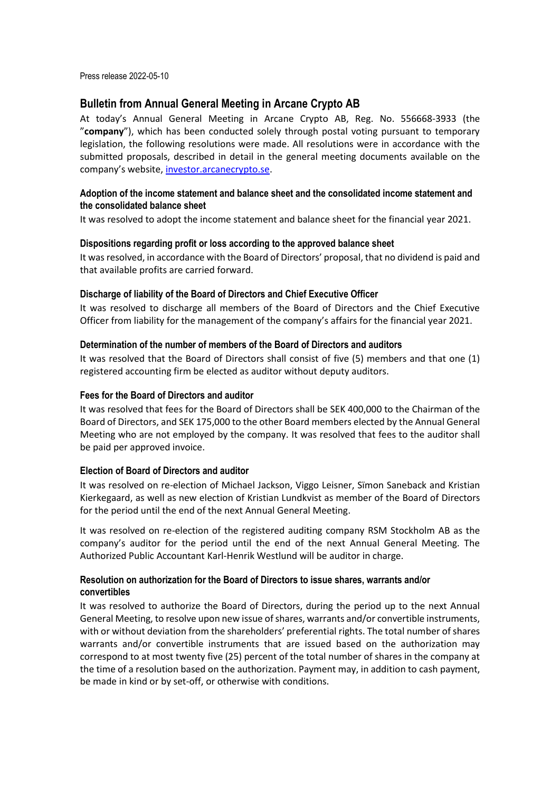Press release 2022-05-10

# **Bulletin from Annual General Meeting in Arcane Crypto AB**

At today's Annual General Meeting in Arcane Crypto AB, Reg. No. 556668-3933 (the "**company**"), which has been conducted solely through postal voting pursuant to temporary legislation, the following resolutions were made. All resolutions were in accordance with the submitted proposals, described in detail in the general meeting documents available on the company's website, investor.arcanecrypto.se.

## **Adoption of the income statement and balance sheet and the consolidated income statement and the consolidated balance sheet**

It was resolved to adopt the income statement and balance sheet for the financial year 2021.

## **Dispositions regarding profit or loss according to the approved balance sheet**

It was resolved, in accordance with the Board of Directors' proposal, that no dividend is paid and that available profits are carried forward.

#### **Discharge of liability of the Board of Directors and Chief Executive Officer**

It was resolved to discharge all members of the Board of Directors and the Chief Executive Officer from liability for the management of the company's affairs for the financial year 2021.

## **Determination of the number of members of the Board of Directors and auditors**

It was resolved that the Board of Directors shall consist of five (5) members and that one (1) registered accounting firm be elected as auditor without deputy auditors.

#### **Fees for the Board of Directors and auditor**

It was resolved that fees for the Board of Directors shall be SEK 400,000 to the Chairman of the Board of Directors, and SEK 175,000 to the other Board members elected by the Annual General Meeting who are not employed by the company. It was resolved that fees to the auditor shall be paid per approved invoice.

## **Election of Board of Directors and auditor**

It was resolved on re-election of Michael Jackson, Viggo Leisner, Sïmon Saneback and Kristian Kierkegaard, as well as new election of Kristian Lundkvist as member of the Board of Directors for the period until the end of the next Annual General Meeting.

It was resolved on re-election of the registered auditing company RSM Stockholm AB as the company's auditor for the period until the end of the next Annual General Meeting. The Authorized Public Accountant Karl-Henrik Westlund will be auditor in charge.

## **Resolution on authorization for the Board of Directors to issue shares, warrants and/or convertibles**

It was resolved to authorize the Board of Directors, during the period up to the next Annual General Meeting, to resolve upon new issue of shares, warrants and/or convertible instruments, with or without deviation from the shareholders' preferential rights. The total number of shares warrants and/or convertible instruments that are issued based on the authorization may correspond to at most twenty five (25) percent of the total number of shares in the company at the time of a resolution based on the authorization. Payment may, in addition to cash payment, be made in kind or by set-off, or otherwise with conditions.